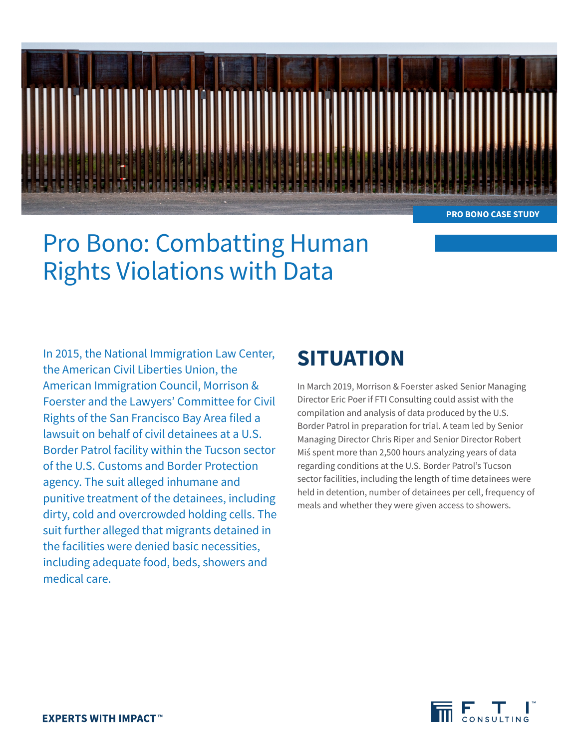

**PRO BONO CASE STUDY**

# Pro Bono: Combatting Human Rights Violations with Data

In 2015, the National Immigration Law Center, the American Civil Liberties Union, the American Immigration Council, Morrison & Foerster and the Lawyers' Committee for Civil Rights of the San Francisco Bay Area filed a lawsuit on behalf of civil detainees at a U.S. Border Patrol facility within the Tucson sector of the U.S. Customs and Border Protection agency. The suit alleged inhumane and punitive treatment of the detainees, including dirty, cold and overcrowded holding cells. The suit further alleged that migrants detained in the facilities were denied basic necessities, including adequate food, beds, showers and medical care.

## **SITUATION**

In March 2019, Morrison & Foerster asked Senior Managing Director Eric Poer if FTI Consulting could assist with the compilation and analysis of data produced by the U.S. Border Patrol in preparation for trial. A team led by Senior Managing Director Chris Riper and Senior Director Robert Miś spent more than 2,500 hours analyzing years of data regarding conditions at the U.S. Border Patrol's Tucson sector facilities, including the length of time detainees were held in detention, number of detainees per cell, frequency of meals and whether they were given access to showers.